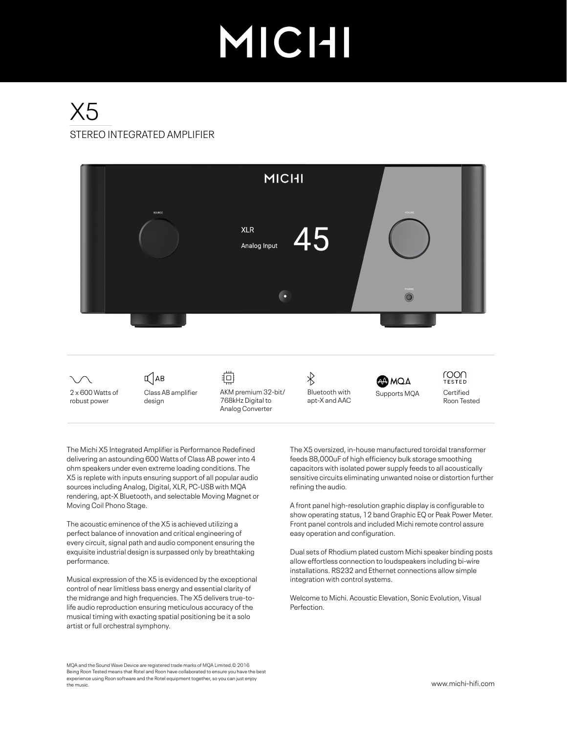# MICHI

# STEREO INTEGRATED AMPLIFIER X5



The Michi X5 Integrated Amplifier is Performance Redefined delivering an astounding 600 Watts of Class AB power into 4 ohm speakers under even extreme loading conditions. The X5 is replete with inputs ensuring support of all popular audio sources including Analog, Digital, XLR, PC-USB with MQA rendering, apt-X Bluetooth, and selectable Moving Magnet or Moving Coil Phono Stage.

The acoustic eminence of the X5 is achieved utilizing a perfect balance of innovation and critical engineering of every circuit, signal path and audio component ensuring the exquisite industrial design is surpassed only by breathtaking performance.

Musical expression of the X5 is evidenced by the exceptional control of near limitless bass energy and essential clarity of the midrange and high frequencies. The X5 delivers true-tolife audio reproduction ensuring meticulous accuracy of the musical timing with exacting spatial positioning be it a solo artist or full orchestral symphony.

MQA and the Sound Wave Device are registered trade marks of MQA Limited.© 2016 Being Roon Tested means that Rotel and Roon have collaborated to ensure you have the best experience using Roon software and the Rotel equipment together, so you can just enjoy the music.

The X5 oversized, in-house manufactured toroidal transformer feeds 88,000uF of high efficiency bulk storage smoothing capacitors with isolated power supply feeds to all acoustically sensitive circuits eliminating unwanted noise or distortion further refining the audio.

A front panel high-resolution graphic display is configurable to show operating status, 12 band Graphic EQ or Peak Power Meter. Front panel controls and included Michi remote control assure easy operation and configuration.

Dual sets of Rhodium plated custom Michi speaker binding posts allow effortless connection to loudspeakers including bi-wire installations. RS232 and Ethernet connections allow simple integration with control systems.

Welcome to Michi. Acoustic Elevation, Sonic Evolution, Visual Perfection.